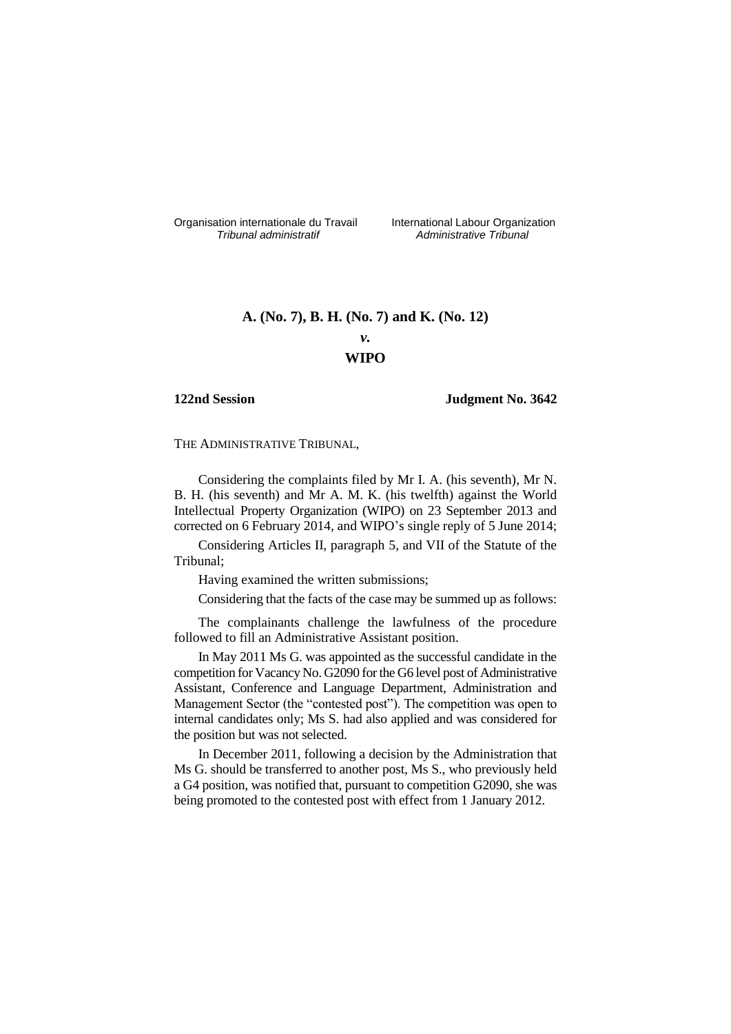Organisation internationale du Travail liternational Labour Organization<br> *Tribunal administratif Administrative Tribunal* 

*Tribunal administratif Administrative Tribunal*

# **A. (No. 7), B. H. (No. 7) and K. (No. 12)**

## *v.* **WIPO**

### **122nd Session Judgment No. 3642**

THE ADMINISTRATIVE TRIBUNAL,

Considering the complaints filed by Mr I. A. (his seventh), Mr N. B. H. (his seventh) and Mr A. M. K. (his twelfth) against the World Intellectual Property Organization (WIPO) on 23 September 2013 and corrected on 6 February 2014, and WIPO's single reply of 5 June 2014;

Considering Articles II, paragraph 5, and VII of the Statute of the Tribunal;

Having examined the written submissions;

Considering that the facts of the case may be summed up as follows:

The complainants challenge the lawfulness of the procedure followed to fill an Administrative Assistant position.

In May 2011 Ms G. was appointed as the successful candidate in the competition for Vacancy No. G2090 for the G6 level post of Administrative Assistant, Conference and Language Department, Administration and Management Sector (the "contested post"). The competition was open to internal candidates only; Ms S. had also applied and was considered for the position but was not selected.

In December 2011, following a decision by the Administration that Ms G. should be transferred to another post, Ms S., who previously held a G4 position, was notified that, pursuant to competition G2090, she was being promoted to the contested post with effect from 1 January 2012.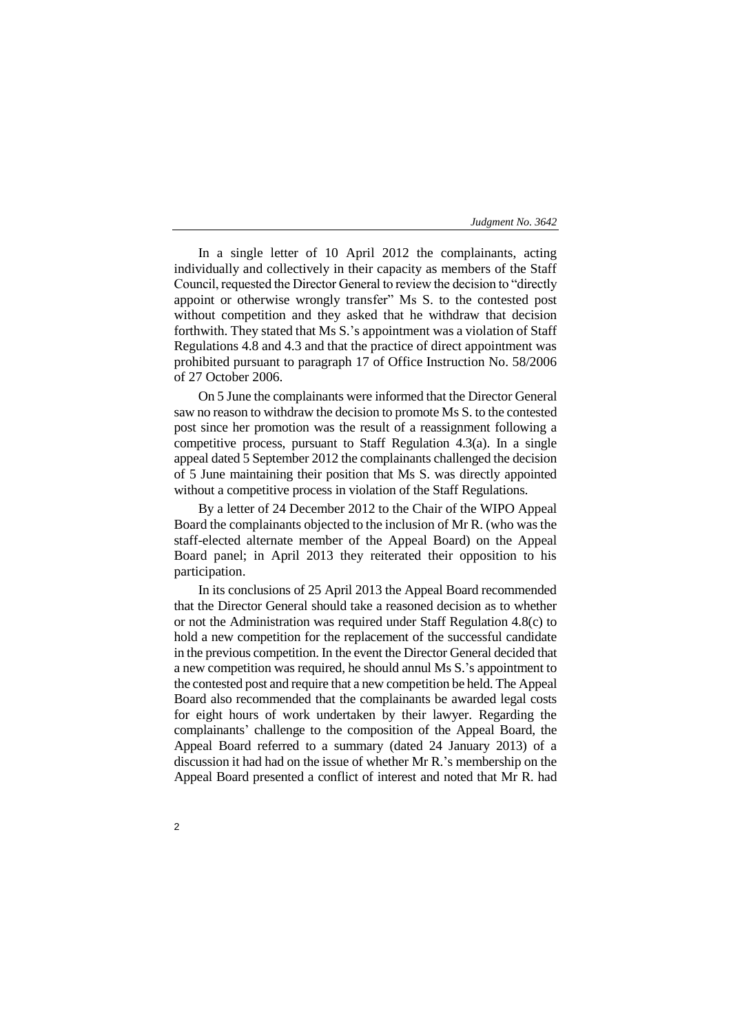In a single letter of 10 April 2012 the complainants, acting individually and collectively in their capacity as members of the Staff Council, requested the Director General to review the decision to "directly appoint or otherwise wrongly transfer" Ms S. to the contested post without competition and they asked that he withdraw that decision forthwith. They stated that Ms S.'s appointment was a violation of Staff Regulations 4.8 and 4.3 and that the practice of direct appointment was prohibited pursuant to paragraph 17 of Office Instruction No. 58/2006 of 27 October 2006.

On 5 June the complainants were informed that the Director General saw no reason to withdraw the decision to promote Ms S. to the contested post since her promotion was the result of a reassignment following a competitive process, pursuant to Staff Regulation 4.3(a). In a single appeal dated 5 September 2012 the complainants challenged the decision of 5 June maintaining their position that Ms S. was directly appointed without a competitive process in violation of the Staff Regulations.

By a letter of 24 December 2012 to the Chair of the WIPO Appeal Board the complainants objected to the inclusion of Mr R. (who was the staff-elected alternate member of the Appeal Board) on the Appeal Board panel; in April 2013 they reiterated their opposition to his participation.

In its conclusions of 25 April 2013 the Appeal Board recommended that the Director General should take a reasoned decision as to whether or not the Administration was required under Staff Regulation 4.8(c) to hold a new competition for the replacement of the successful candidate in the previous competition. In the event the Director General decided that a new competition was required, he should annul Ms S.'s appointment to the contested post and require that a new competition be held. The Appeal Board also recommended that the complainants be awarded legal costs for eight hours of work undertaken by their lawyer. Regarding the complainants' challenge to the composition of the Appeal Board, the Appeal Board referred to a summary (dated 24 January 2013) of a discussion it had had on the issue of whether Mr R.'s membership on the Appeal Board presented a conflict of interest and noted that Mr R. had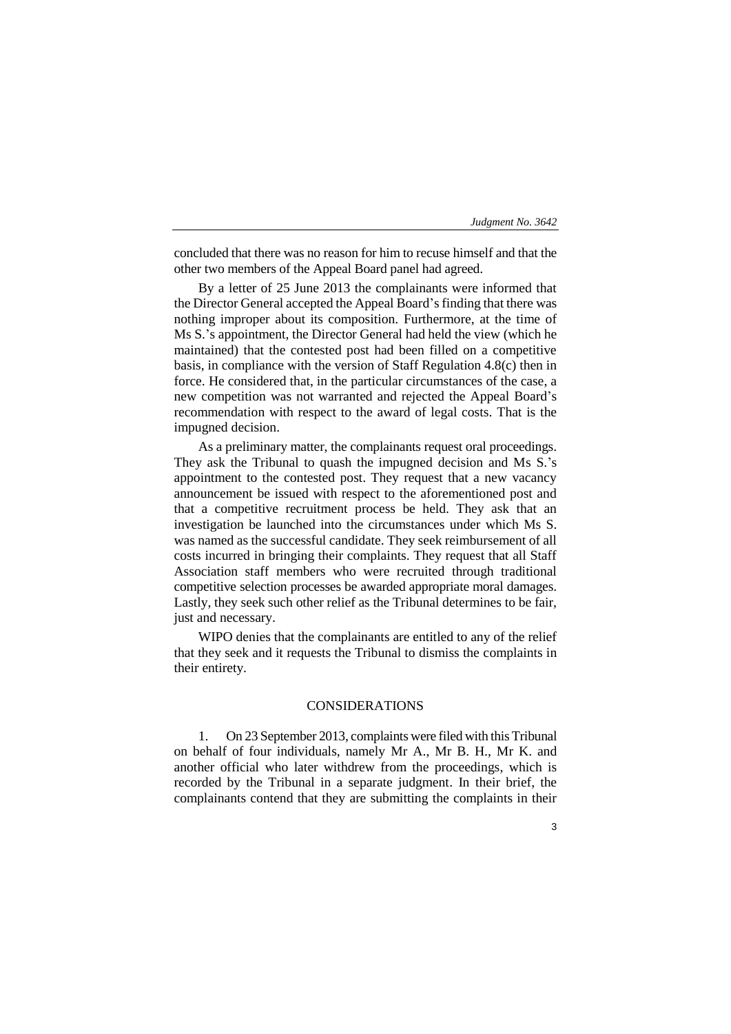concluded that there was no reason for him to recuse himself and that the other two members of the Appeal Board panel had agreed.

By a letter of 25 June 2013 the complainants were informed that the Director General accepted the Appeal Board's finding that there was nothing improper about its composition. Furthermore, at the time of Ms S.'s appointment, the Director General had held the view (which he maintained) that the contested post had been filled on a competitive basis, in compliance with the version of Staff Regulation 4.8(c) then in force. He considered that, in the particular circumstances of the case, a new competition was not warranted and rejected the Appeal Board's recommendation with respect to the award of legal costs. That is the impugned decision.

As a preliminary matter, the complainants request oral proceedings. They ask the Tribunal to quash the impugned decision and Ms S.'s appointment to the contested post. They request that a new vacancy announcement be issued with respect to the aforementioned post and that a competitive recruitment process be held. They ask that an investigation be launched into the circumstances under which Ms S. was named as the successful candidate. They seek reimbursement of all costs incurred in bringing their complaints. They request that all Staff Association staff members who were recruited through traditional competitive selection processes be awarded appropriate moral damages. Lastly, they seek such other relief as the Tribunal determines to be fair, just and necessary.

WIPO denies that the complainants are entitled to any of the relief that they seek and it requests the Tribunal to dismiss the complaints in their entirety.

## CONSIDERATIONS

1. On 23 September 2013, complaints were filed with this Tribunal on behalf of four individuals, namely Mr A., Mr B. H., Mr K. and another official who later withdrew from the proceedings, which is recorded by the Tribunal in a separate judgment. In their brief, the complainants contend that they are submitting the complaints in their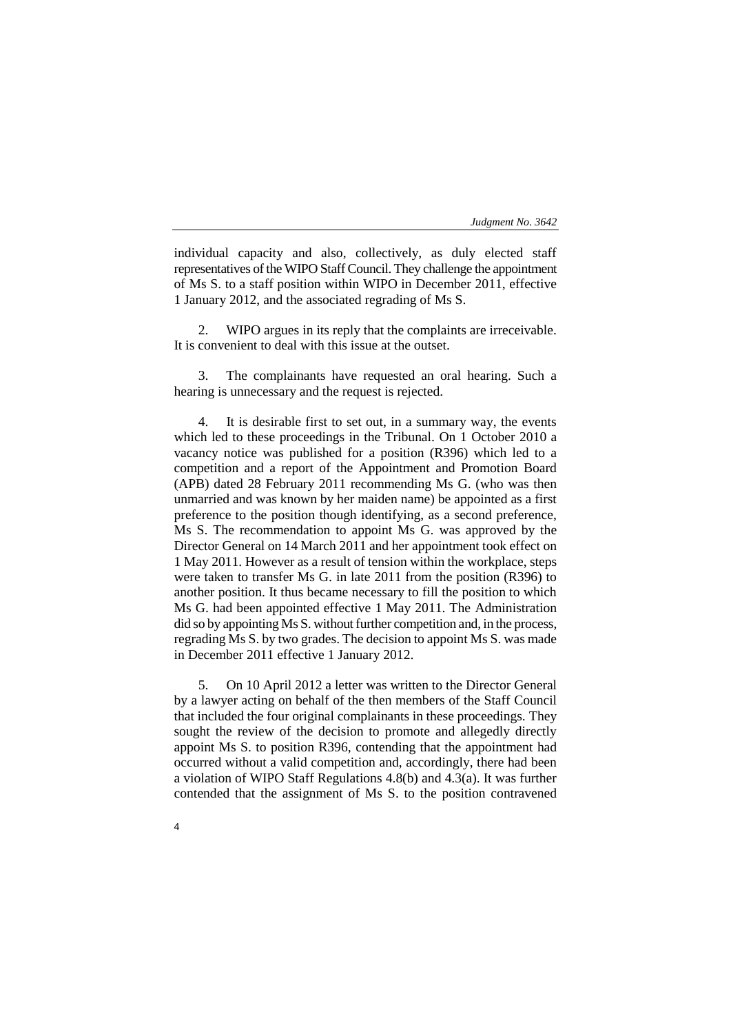individual capacity and also, collectively, as duly elected staff representatives of the WIPO Staff Council. They challenge the appointment of Ms S. to a staff position within WIPO in December 2011, effective 1 January 2012, and the associated regrading of Ms S.

2. WIPO argues in its reply that the complaints are irreceivable. It is convenient to deal with this issue at the outset.

3. The complainants have requested an oral hearing. Such a hearing is unnecessary and the request is rejected.

4. It is desirable first to set out, in a summary way, the events which led to these proceedings in the Tribunal. On 1 October 2010 a vacancy notice was published for a position (R396) which led to a competition and a report of the Appointment and Promotion Board (APB) dated 28 February 2011 recommending Ms G. (who was then unmarried and was known by her maiden name) be appointed as a first preference to the position though identifying, as a second preference, Ms S. The recommendation to appoint Ms G. was approved by the Director General on 14 March 2011 and her appointment took effect on 1 May 2011. However as a result of tension within the workplace, steps were taken to transfer Ms G. in late 2011 from the position (R396) to another position. It thus became necessary to fill the position to which Ms G. had been appointed effective 1 May 2011. The Administration did so by appointing Ms S. without further competition and, in the process, regrading Ms S. by two grades. The decision to appoint Ms S. was made in December 2011 effective 1 January 2012.

5. On 10 April 2012 a letter was written to the Director General by a lawyer acting on behalf of the then members of the Staff Council that included the four original complainants in these proceedings. They sought the review of the decision to promote and allegedly directly appoint Ms S. to position R396, contending that the appointment had occurred without a valid competition and, accordingly, there had been a violation of WIPO Staff Regulations 4.8(b) and 4.3(a). It was further contended that the assignment of Ms S. to the position contravened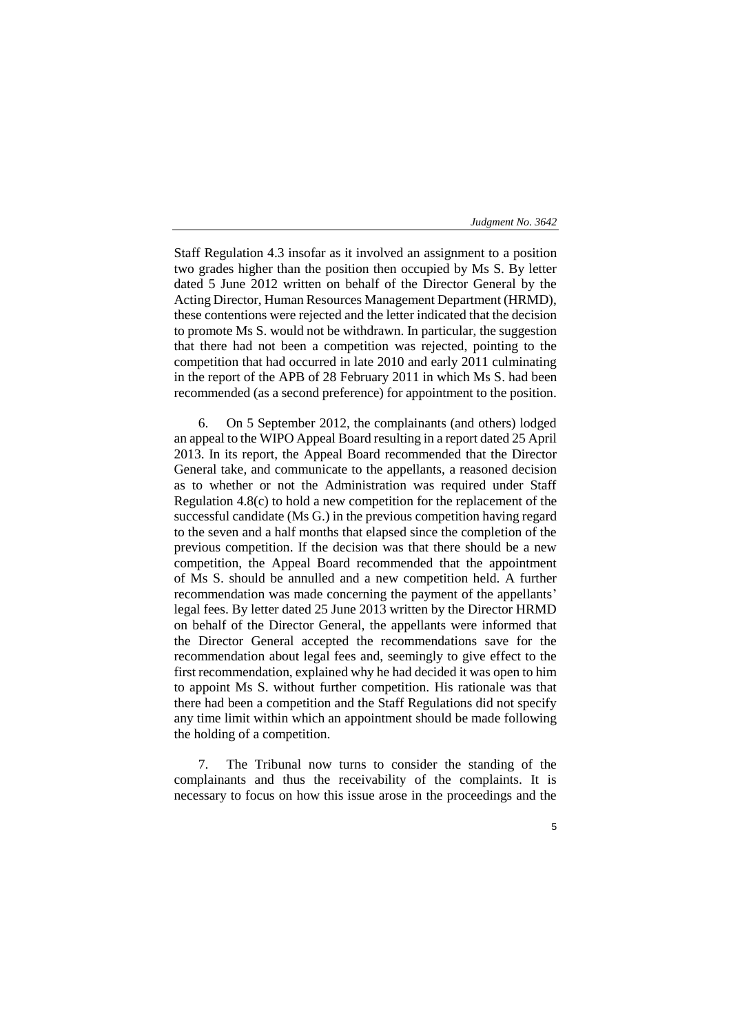Staff Regulation 4.3 insofar as it involved an assignment to a position two grades higher than the position then occupied by Ms S. By letter dated 5 June 2012 written on behalf of the Director General by the Acting Director, Human Resources Management Department (HRMD), these contentions were rejected and the letter indicated that the decision to promote Ms S. would not be withdrawn. In particular, the suggestion that there had not been a competition was rejected, pointing to the competition that had occurred in late 2010 and early 2011 culminating in the report of the APB of 28 February 2011 in which Ms S. had been recommended (as a second preference) for appointment to the position.

6. On 5 September 2012, the complainants (and others) lodged an appeal to the WIPO Appeal Board resulting in a report dated 25 April 2013. In its report, the Appeal Board recommended that the Director General take, and communicate to the appellants, a reasoned decision as to whether or not the Administration was required under Staff Regulation 4.8(c) to hold a new competition for the replacement of the successful candidate (Ms G.) in the previous competition having regard to the seven and a half months that elapsed since the completion of the previous competition. If the decision was that there should be a new competition, the Appeal Board recommended that the appointment of Ms S. should be annulled and a new competition held. A further recommendation was made concerning the payment of the appellants' legal fees. By letter dated 25 June 2013 written by the Director HRMD on behalf of the Director General, the appellants were informed that the Director General accepted the recommendations save for the recommendation about legal fees and, seemingly to give effect to the first recommendation, explained why he had decided it was open to him to appoint Ms S. without further competition. His rationale was that there had been a competition and the Staff Regulations did not specify any time limit within which an appointment should be made following the holding of a competition.

7. The Tribunal now turns to consider the standing of the complainants and thus the receivability of the complaints. It is necessary to focus on how this issue arose in the proceedings and the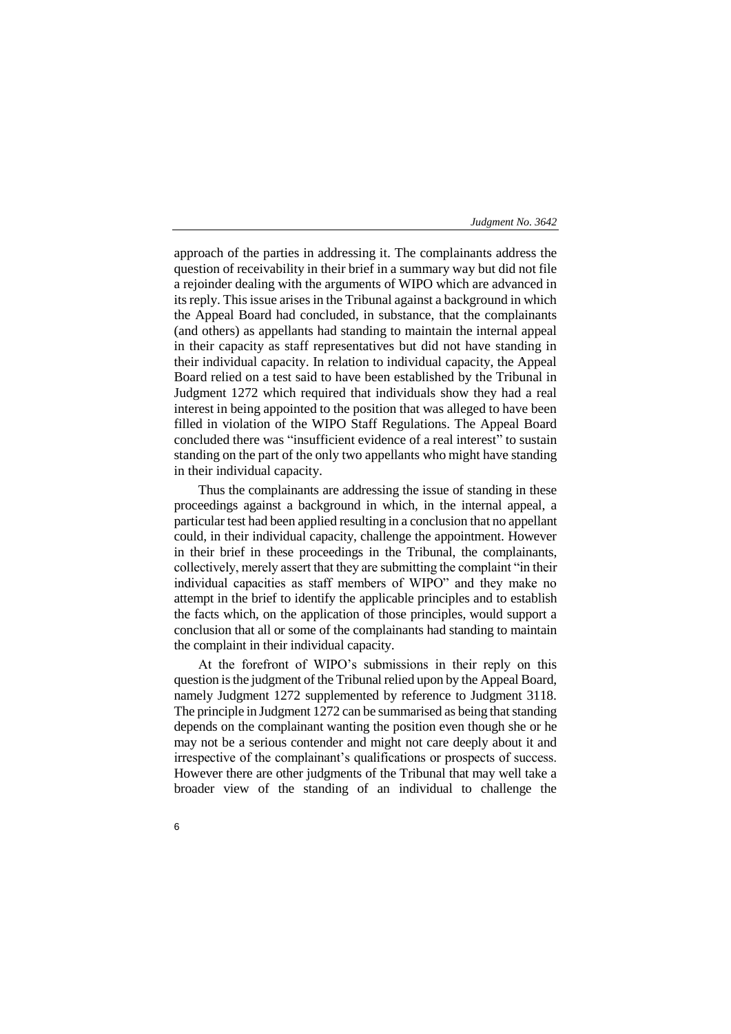approach of the parties in addressing it. The complainants address the question of receivability in their brief in a summary way but did not file a rejoinder dealing with the arguments of WIPO which are advanced in its reply. This issue arises in the Tribunal against a background in which the Appeal Board had concluded, in substance, that the complainants (and others) as appellants had standing to maintain the internal appeal in their capacity as staff representatives but did not have standing in their individual capacity. In relation to individual capacity, the Appeal Board relied on a test said to have been established by the Tribunal in Judgment 1272 which required that individuals show they had a real interest in being appointed to the position that was alleged to have been filled in violation of the WIPO Staff Regulations. The Appeal Board concluded there was "insufficient evidence of a real interest" to sustain standing on the part of the only two appellants who might have standing in their individual capacity.

Thus the complainants are addressing the issue of standing in these proceedings against a background in which, in the internal appeal, a particular test had been applied resulting in a conclusion that no appellant could, in their individual capacity, challenge the appointment. However in their brief in these proceedings in the Tribunal, the complainants, collectively, merely assert that they are submitting the complaint "in their individual capacities as staff members of WIPO" and they make no attempt in the brief to identify the applicable principles and to establish the facts which, on the application of those principles, would support a conclusion that all or some of the complainants had standing to maintain the complaint in their individual capacity.

At the forefront of WIPO's submissions in their reply on this question is the judgment of the Tribunal relied upon by the Appeal Board, namely Judgment 1272 supplemented by reference to Judgment 3118. The principle in Judgment 1272 can be summarised as being that standing depends on the complainant wanting the position even though she or he may not be a serious contender and might not care deeply about it and irrespective of the complainant's qualifications or prospects of success. However there are other judgments of the Tribunal that may well take a broader view of the standing of an individual to challenge the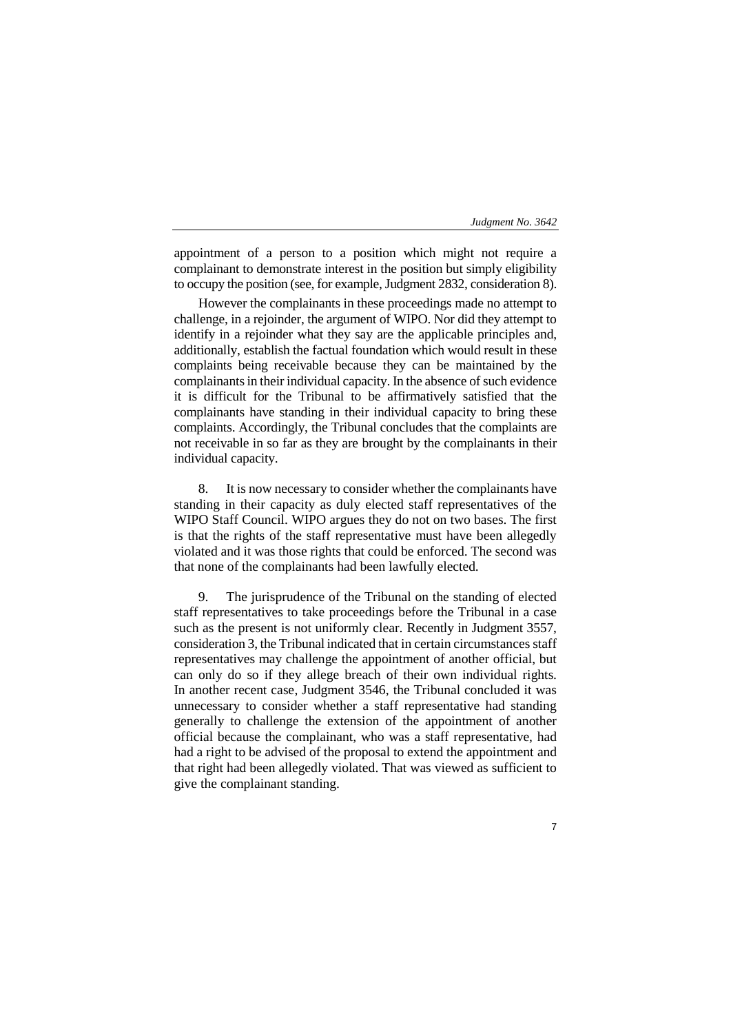appointment of a person to a position which might not require a complainant to demonstrate interest in the position but simply eligibility to occupy the position (see, for example, Judgment 2832, consideration 8).

However the complainants in these proceedings made no attempt to challenge, in a rejoinder, the argument of WIPO. Nor did they attempt to identify in a rejoinder what they say are the applicable principles and, additionally, establish the factual foundation which would result in these complaints being receivable because they can be maintained by the complainants in their individual capacity. In the absence of such evidence it is difficult for the Tribunal to be affirmatively satisfied that the complainants have standing in their individual capacity to bring these complaints. Accordingly, the Tribunal concludes that the complaints are not receivable in so far as they are brought by the complainants in their individual capacity.

8. It is now necessary to consider whether the complainants have standing in their capacity as duly elected staff representatives of the WIPO Staff Council. WIPO argues they do not on two bases. The first is that the rights of the staff representative must have been allegedly violated and it was those rights that could be enforced. The second was that none of the complainants had been lawfully elected.

9. The jurisprudence of the Tribunal on the standing of elected staff representatives to take proceedings before the Tribunal in a case such as the present is not uniformly clear. Recently in Judgment 3557, consideration 3, the Tribunal indicated that in certain circumstances staff representatives may challenge the appointment of another official, but can only do so if they allege breach of their own individual rights. In another recent case, Judgment 3546, the Tribunal concluded it was unnecessary to consider whether a staff representative had standing generally to challenge the extension of the appointment of another official because the complainant, who was a staff representative, had had a right to be advised of the proposal to extend the appointment and that right had been allegedly violated. That was viewed as sufficient to give the complainant standing.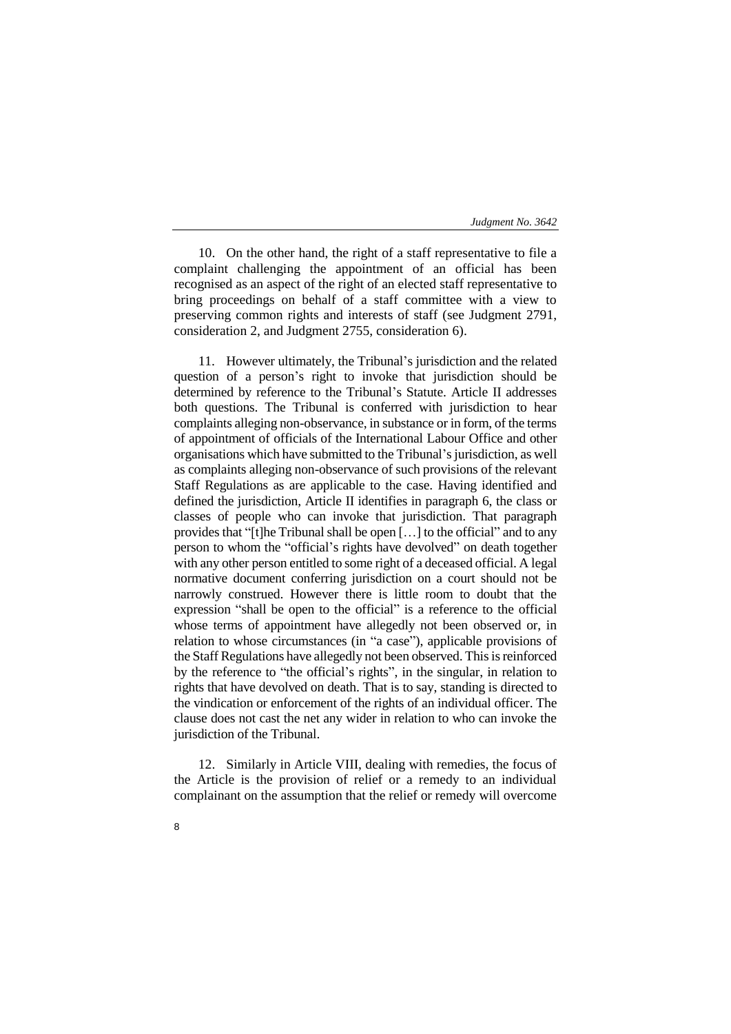10. On the other hand, the right of a staff representative to file a complaint challenging the appointment of an official has been recognised as an aspect of the right of an elected staff representative to bring proceedings on behalf of a staff committee with a view to preserving common rights and interests of staff (see Judgment 2791, consideration 2, and Judgment 2755, consideration 6).

11. However ultimately, the Tribunal's jurisdiction and the related question of a person's right to invoke that jurisdiction should be determined by reference to the Tribunal's Statute. Article II addresses both questions. The Tribunal is conferred with jurisdiction to hear complaints alleging non-observance, in substance or in form, of the terms of appointment of officials of the International Labour Office and other organisations which have submitted to the Tribunal's jurisdiction, as well as complaints alleging non-observance of such provisions of the relevant Staff Regulations as are applicable to the case. Having identified and defined the jurisdiction, Article II identifies in paragraph 6, the class or classes of people who can invoke that jurisdiction. That paragraph provides that "[t]he Tribunal shall be open […] to the official" and to any person to whom the "official's rights have devolved" on death together with any other person entitled to some right of a deceased official. A legal normative document conferring jurisdiction on a court should not be narrowly construed. However there is little room to doubt that the expression "shall be open to the official" is a reference to the official whose terms of appointment have allegedly not been observed or, in relation to whose circumstances (in "a case"), applicable provisions of the Staff Regulations have allegedly not been observed. This is reinforced by the reference to "the official's rights", in the singular, in relation to rights that have devolved on death. That is to say, standing is directed to the vindication or enforcement of the rights of an individual officer. The clause does not cast the net any wider in relation to who can invoke the jurisdiction of the Tribunal.

12. Similarly in Article VIII, dealing with remedies, the focus of the Article is the provision of relief or a remedy to an individual complainant on the assumption that the relief or remedy will overcome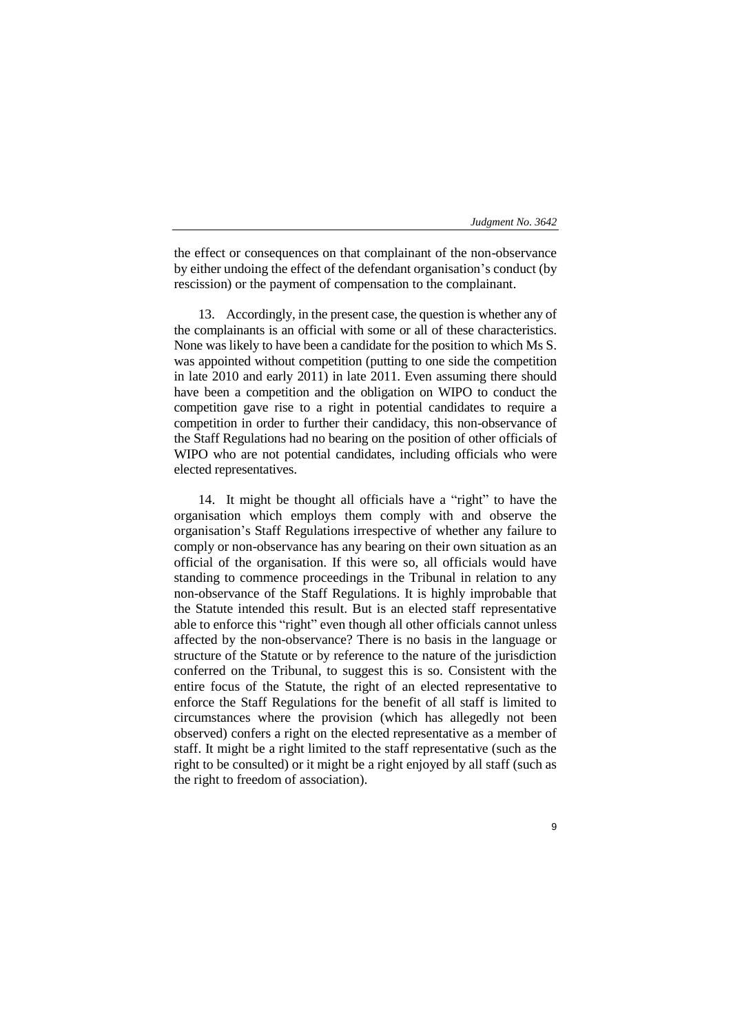the effect or consequences on that complainant of the non-observance by either undoing the effect of the defendant organisation's conduct (by rescission) or the payment of compensation to the complainant.

13. Accordingly, in the present case, the question is whether any of the complainants is an official with some or all of these characteristics. None was likely to have been a candidate for the position to which Ms S. was appointed without competition (putting to one side the competition in late 2010 and early 2011) in late 2011. Even assuming there should have been a competition and the obligation on WIPO to conduct the competition gave rise to a right in potential candidates to require a competition in order to further their candidacy, this non-observance of the Staff Regulations had no bearing on the position of other officials of WIPO who are not potential candidates, including officials who were elected representatives.

14. It might be thought all officials have a "right" to have the organisation which employs them comply with and observe the organisation's Staff Regulations irrespective of whether any failure to comply or non-observance has any bearing on their own situation as an official of the organisation. If this were so, all officials would have standing to commence proceedings in the Tribunal in relation to any non-observance of the Staff Regulations. It is highly improbable that the Statute intended this result. But is an elected staff representative able to enforce this "right" even though all other officials cannot unless affected by the non-observance? There is no basis in the language or structure of the Statute or by reference to the nature of the jurisdiction conferred on the Tribunal, to suggest this is so. Consistent with the entire focus of the Statute, the right of an elected representative to enforce the Staff Regulations for the benefit of all staff is limited to circumstances where the provision (which has allegedly not been observed) confers a right on the elected representative as a member of staff. It might be a right limited to the staff representative (such as the right to be consulted) or it might be a right enjoyed by all staff (such as the right to freedom of association).